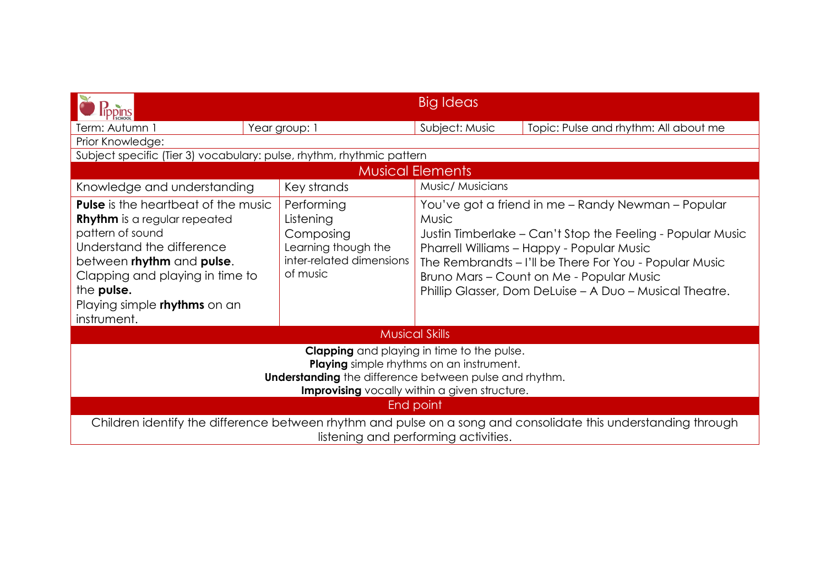|                                                                                                                                                                                                                                                                 |                                                                                                     | Big Ideas                                                                                                                                                                                                                                                                                                                                      |                                       |  |  |  |  |
|-----------------------------------------------------------------------------------------------------------------------------------------------------------------------------------------------------------------------------------------------------------------|-----------------------------------------------------------------------------------------------------|------------------------------------------------------------------------------------------------------------------------------------------------------------------------------------------------------------------------------------------------------------------------------------------------------------------------------------------------|---------------------------------------|--|--|--|--|
| Term: Autumn 1                                                                                                                                                                                                                                                  | Year group: 1                                                                                       | Subject: Music                                                                                                                                                                                                                                                                                                                                 | Topic: Pulse and rhythm: All about me |  |  |  |  |
| Prior Knowledge:                                                                                                                                                                                                                                                |                                                                                                     |                                                                                                                                                                                                                                                                                                                                                |                                       |  |  |  |  |
| Subject specific (Tier 3) vocabulary: pulse, rhythm, rhythmic pattern                                                                                                                                                                                           |                                                                                                     |                                                                                                                                                                                                                                                                                                                                                |                                       |  |  |  |  |
| <b>Musical Elements</b>                                                                                                                                                                                                                                         |                                                                                                     |                                                                                                                                                                                                                                                                                                                                                |                                       |  |  |  |  |
| Knowledge and understanding                                                                                                                                                                                                                                     | Music/ Musicians<br>Key strands                                                                     |                                                                                                                                                                                                                                                                                                                                                |                                       |  |  |  |  |
| <b>Pulse</b> is the heartbeat of the music<br><b>Rhythm</b> is a regular repeated<br>pattern of sound<br>Understand the difference<br>between rhythm and pulse.<br>Clapping and playing in time to<br>the pulse.<br>Playing simple rhythms on an<br>instrument. | Performing<br>Listening<br>Composing<br>Learning though the<br>inter-related dimensions<br>of music | You've got a friend in me - Randy Newman - Popular<br><b>Music</b><br>Justin Timberlake – Can't Stop the Feeling - Popular Music<br>Pharrell Williams - Happy - Popular Music<br>The Rembrandts - I'll be There For You - Popular Music<br>Bruno Mars - Count on Me - Popular Music<br>Phillip Glasser, Dom DeLuise - A Duo - Musical Theatre. |                                       |  |  |  |  |
| <b>Musical Skills</b>                                                                                                                                                                                                                                           |                                                                                                     |                                                                                                                                                                                                                                                                                                                                                |                                       |  |  |  |  |
| <b>Clapping</b> and playing in time to the pulse.<br><b>Playing</b> simple rhythms on an instrument.<br><b>Understanding</b> the difference between pulse and rhythm.<br>Improvising vocally within a given structure.                                          |                                                                                                     |                                                                                                                                                                                                                                                                                                                                                |                                       |  |  |  |  |
| <b>End point</b>                                                                                                                                                                                                                                                |                                                                                                     |                                                                                                                                                                                                                                                                                                                                                |                                       |  |  |  |  |
| Children identify the difference between rhythm and pulse on a song and consolidate this understanding through<br>listening and performing activities.                                                                                                          |                                                                                                     |                                                                                                                                                                                                                                                                                                                                                |                                       |  |  |  |  |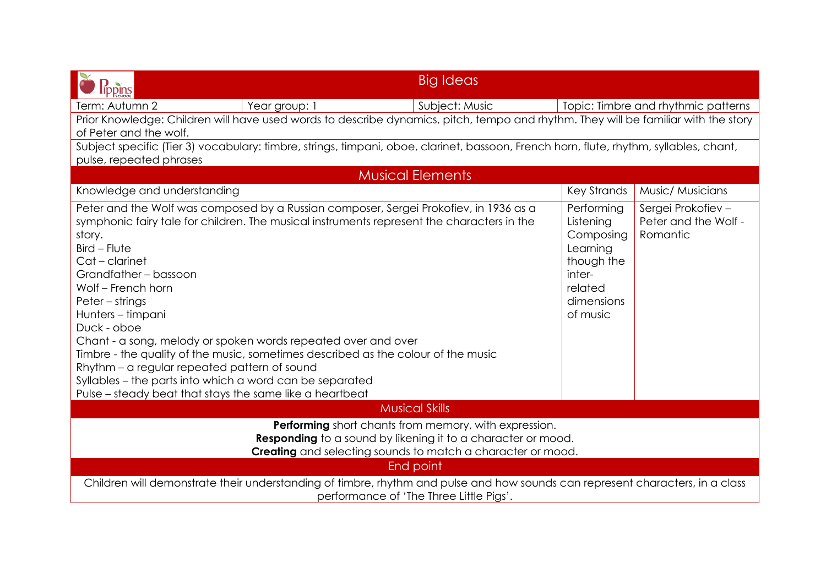|                                                                                                                                                                                                                                                                                                                                                                                                                                                                                                                                                                                                                                                                     | <b>Big Ideas</b>        |                                                                                                               |                                                        |  |  |  |  |
|---------------------------------------------------------------------------------------------------------------------------------------------------------------------------------------------------------------------------------------------------------------------------------------------------------------------------------------------------------------------------------------------------------------------------------------------------------------------------------------------------------------------------------------------------------------------------------------------------------------------------------------------------------------------|-------------------------|---------------------------------------------------------------------------------------------------------------|--------------------------------------------------------|--|--|--|--|
| <b>Tppins</b><br>Term: Autumn 2<br>Year group: 1                                                                                                                                                                                                                                                                                                                                                                                                                                                                                                                                                                                                                    | Subject: Music          |                                                                                                               | Topic: Timbre and rhythmic patterns                    |  |  |  |  |
| Prior Knowledge: Children will have used words to describe dynamics, pitch, tempo and rhythm. They will be familiar with the story<br>of Peter and the wolf.                                                                                                                                                                                                                                                                                                                                                                                                                                                                                                        |                         |                                                                                                               |                                                        |  |  |  |  |
| Subject specific (Tier 3) vocabulary: timbre, strings, timpani, oboe, clarinet, bassoon, French horn, flute, rhythm, syllables, chant,<br>pulse, repeated phrases                                                                                                                                                                                                                                                                                                                                                                                                                                                                                                   |                         |                                                                                                               |                                                        |  |  |  |  |
|                                                                                                                                                                                                                                                                                                                                                                                                                                                                                                                                                                                                                                                                     | <b>Musical Elements</b> |                                                                                                               |                                                        |  |  |  |  |
| Knowledge and understanding                                                                                                                                                                                                                                                                                                                                                                                                                                                                                                                                                                                                                                         |                         | Key Strands                                                                                                   | Music/ Musicians                                       |  |  |  |  |
| Peter and the Wolf was composed by a Russian composer, Sergei Prokofiev, in 1936 as a<br>symphonic fairy tale for children. The musical instruments represent the characters in the<br>story.<br>$Bird$ – Flute<br>Cat - clarinet<br>Grandfather-bassoon<br>Wolf - French horn<br>Peter – strings<br>Hunters - timpani<br>Duck - oboe<br>Chant - a song, melody or spoken words repeated over and over<br>Timbre - the quality of the music, sometimes described as the colour of the music<br>Rhythm - a regular repeated pattern of sound<br>Syllables - the parts into which a word can be separated<br>Pulse – steady beat that stays the same like a heartbeat |                         | Performing<br>Listening<br>Composing<br>Learning<br>though the<br>inter-<br>related<br>dimensions<br>of music | Sergei Prokofiev -<br>Peter and the Wolf -<br>Romantic |  |  |  |  |
| <b>Musical Skills</b>                                                                                                                                                                                                                                                                                                                                                                                                                                                                                                                                                                                                                                               |                         |                                                                                                               |                                                        |  |  |  |  |
| Performing short chants from memory, with expression.<br><b>Responding</b> to a sound by likening it to a character or mood.<br>Creating and selecting sounds to match a character or mood.                                                                                                                                                                                                                                                                                                                                                                                                                                                                         |                         |                                                                                                               |                                                        |  |  |  |  |
| End point<br>Children will demonstrate their understanding of timbre, rhythm and pulse and how sounds can represent characters, in a class<br>performance of 'The Three Little Pigs'.                                                                                                                                                                                                                                                                                                                                                                                                                                                                               |                         |                                                                                                               |                                                        |  |  |  |  |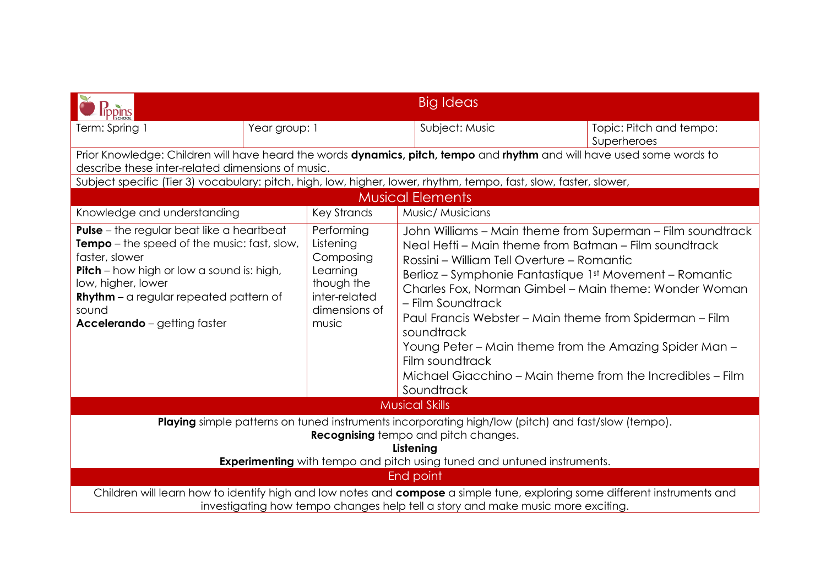| <b>lippins</b>                                                                                                                                                                                                                                                                                                                                                                                               |               |             | <b>Big Ideas</b>                                                                                                                                                                                                                                                                                                                                                                                                                                                                                                                             |                                        |  |
|--------------------------------------------------------------------------------------------------------------------------------------------------------------------------------------------------------------------------------------------------------------------------------------------------------------------------------------------------------------------------------------------------------------|---------------|-------------|----------------------------------------------------------------------------------------------------------------------------------------------------------------------------------------------------------------------------------------------------------------------------------------------------------------------------------------------------------------------------------------------------------------------------------------------------------------------------------------------------------------------------------------------|----------------------------------------|--|
| Term: Spring                                                                                                                                                                                                                                                                                                                                                                                                 | Year group: 1 |             | Subject: Music                                                                                                                                                                                                                                                                                                                                                                                                                                                                                                                               | Topic: Pitch and tempo:<br>Superheroes |  |
| describe these inter-related dimensions of music.                                                                                                                                                                                                                                                                                                                                                            |               |             | Prior Knowledge: Children will have heard the words dynamics, pitch, tempo and rhythm and will have used some words to                                                                                                                                                                                                                                                                                                                                                                                                                       |                                        |  |
|                                                                                                                                                                                                                                                                                                                                                                                                              |               |             | Subject specific (Tier 3) vocabulary: pitch, high, low, higher, lower, rhythm, tempo, fast, slow, faster, slower,                                                                                                                                                                                                                                                                                                                                                                                                                            |                                        |  |
|                                                                                                                                                                                                                                                                                                                                                                                                              |               |             | <b>Musical Elements</b>                                                                                                                                                                                                                                                                                                                                                                                                                                                                                                                      |                                        |  |
| Knowledge and understanding                                                                                                                                                                                                                                                                                                                                                                                  |               | Key Strands | Music/ Musicians                                                                                                                                                                                                                                                                                                                                                                                                                                                                                                                             |                                        |  |
| <b>Pulse</b> - the regular beat like a heartbeat<br>Performing<br><b>Tempo</b> – the speed of the music: fast, slow,<br>Listening<br>faster, slower<br>Composing<br><b>Pitch</b> – how high or low a sound is: high,<br>Learning<br>though the<br>low, higher, lower<br>inter-related<br>$R$ hythm – a regular repeated pattern of<br>dimensions of<br>sound<br><b>Accelerando</b> - getting faster<br>music |               |             | John Williams – Main theme from Superman – Film soundtrack<br>Neal Hefti – Main theme from Batman – Film soundtrack<br>Rossini – William Tell Overture – Romantic<br>Berlioz – Symphonie Fantastique 1st Movement – Romantic<br>Charles Fox, Norman Gimbel - Main theme: Wonder Woman<br>- Film Soundtrack<br>Paul Francis Webster - Main theme from Spiderman - Film<br>soundtrack<br>Young Peter – Main theme from the Amazing Spider Man –<br>Film soundtrack<br>Michael Giacchino – Main theme from the Incredibles – Film<br>Soundtrack |                                        |  |
| <b>Musical Skills</b>                                                                                                                                                                                                                                                                                                                                                                                        |               |             |                                                                                                                                                                                                                                                                                                                                                                                                                                                                                                                                              |                                        |  |
| Playing simple patterns on tuned instruments incorporating high/low (pitch) and fast/slow (tempo).<br><b>Recognising</b> tempo and pitch changes.<br>Listening<br><b>Experimenting</b> with tempo and pitch using tuned and untuned instruments.                                                                                                                                                             |               |             |                                                                                                                                                                                                                                                                                                                                                                                                                                                                                                                                              |                                        |  |
| End point                                                                                                                                                                                                                                                                                                                                                                                                    |               |             |                                                                                                                                                                                                                                                                                                                                                                                                                                                                                                                                              |                                        |  |
| Children will learn how to identify high and low notes and compose a simple tune, exploring some different instruments and<br>investigating how tempo changes help tell a story and make music more exciting.                                                                                                                                                                                                |               |             |                                                                                                                                                                                                                                                                                                                                                                                                                                                                                                                                              |                                        |  |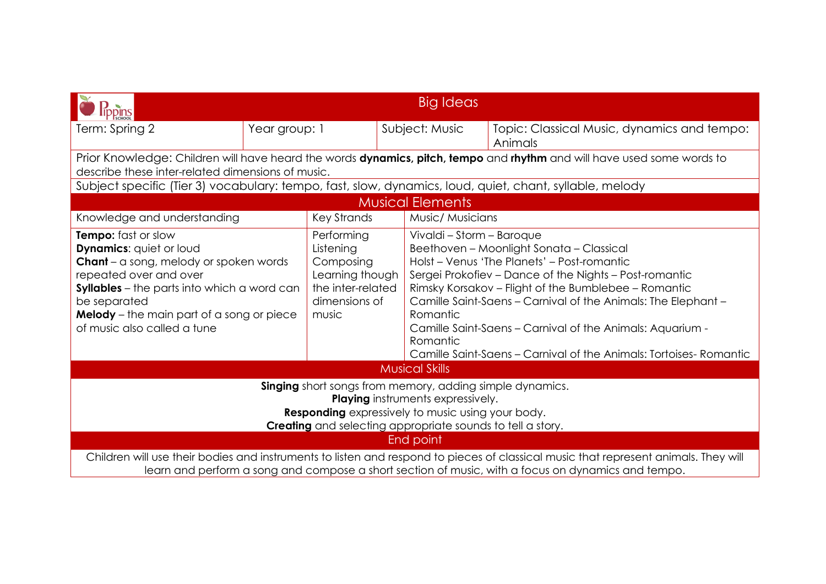| <b>Big Ideas</b><br>ppins                                                                                                                                                                                                                                                                        |                                                                                                                                                                             |                                                                                                        |                  |                                                                                                                                                                                                                                                                                                                                                                                                                                                                   |                                                        |  |
|--------------------------------------------------------------------------------------------------------------------------------------------------------------------------------------------------------------------------------------------------------------------------------------------------|-----------------------------------------------------------------------------------------------------------------------------------------------------------------------------|--------------------------------------------------------------------------------------------------------|------------------|-------------------------------------------------------------------------------------------------------------------------------------------------------------------------------------------------------------------------------------------------------------------------------------------------------------------------------------------------------------------------------------------------------------------------------------------------------------------|--------------------------------------------------------|--|
| Term: Spring 2                                                                                                                                                                                                                                                                                   | Year group: 1                                                                                                                                                               | Subject: Music                                                                                         |                  |                                                                                                                                                                                                                                                                                                                                                                                                                                                                   | Topic: Classical Music, dynamics and tempo:<br>Animals |  |
|                                                                                                                                                                                                                                                                                                  | Prior Knowledge: Children will have heard the words dynamics, pitch, tempo and rhythm and will have used some words to<br>describe these inter-related dimensions of music. |                                                                                                        |                  |                                                                                                                                                                                                                                                                                                                                                                                                                                                                   |                                                        |  |
| Subject specific (Tier 3) vocabulary: tempo, fast, slow, dynamics, loud, quiet, chant, syllable, melody                                                                                                                                                                                          |                                                                                                                                                                             |                                                                                                        |                  |                                                                                                                                                                                                                                                                                                                                                                                                                                                                   |                                                        |  |
|                                                                                                                                                                                                                                                                                                  |                                                                                                                                                                             |                                                                                                        |                  | <b>Musical Elements</b>                                                                                                                                                                                                                                                                                                                                                                                                                                           |                                                        |  |
| Knowledge and understanding                                                                                                                                                                                                                                                                      |                                                                                                                                                                             | <b>Key Strands</b>                                                                                     | Music/ Musicians |                                                                                                                                                                                                                                                                                                                                                                                                                                                                   |                                                        |  |
| <b>Tempo:</b> fast or slow<br><b>Dynamics: quiet or loud</b><br><b>Chant</b> – a song, melody or spoken words<br>repeated over and over<br><b>Syllables</b> – the parts into which a word can<br>be separated<br><b>Melody</b> – the main part of a song or piece<br>of music also called a tune |                                                                                                                                                                             | Performing<br>Listening<br>Composing<br>Learning though<br>the inter-related<br>dimensions of<br>music |                  | Vivaldi - Storm - Baroque<br>Beethoven - Moonlight Sonata - Classical<br>Holst - Venus 'The Planets' - Post-romantic<br>Sergei Prokofiev - Dance of the Nights - Post-romantic<br>Rimsky Korsakov – Flight of the Bumblebee – Romantic<br>Camille Saint-Saens - Carnival of the Animals: The Elephant -<br>Romantic<br>Camille Saint-Saens - Carnival of the Animals: Aquarium -<br>Romantic<br>Camille Saint-Saens – Carnival of the Animals: Tortoises-Romantic |                                                        |  |
| <b>Musical Skills</b>                                                                                                                                                                                                                                                                            |                                                                                                                                                                             |                                                                                                        |                  |                                                                                                                                                                                                                                                                                                                                                                                                                                                                   |                                                        |  |
| <b>Singing</b> short songs from memory, adding simple dynamics.<br><b>Playing</b> instruments expressively.<br><b>Responding</b> expressively to music using your body.<br><b>Creating</b> and selecting appropriate sounds to tell a story.<br>End point                                        |                                                                                                                                                                             |                                                                                                        |                  |                                                                                                                                                                                                                                                                                                                                                                                                                                                                   |                                                        |  |
| Children will use their bodies and instruments to listen and respond to pieces of classical music that represent animals. They will<br>learn and perform a song and compose a short section of music, with a focus on dynamics and tempo.                                                        |                                                                                                                                                                             |                                                                                                        |                  |                                                                                                                                                                                                                                                                                                                                                                                                                                                                   |                                                        |  |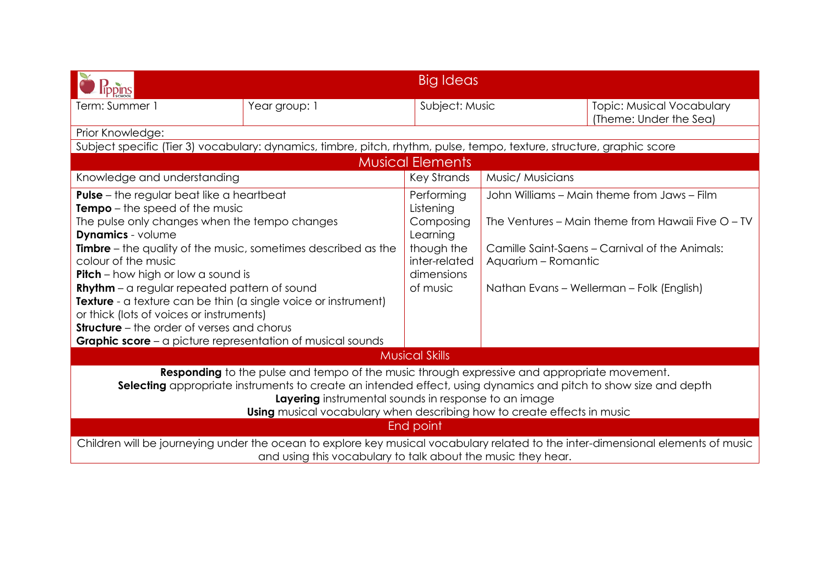|                                                                                                                                                                                                                                                                                                                                                                                                                                                                                                                                              | Big Ideas     |                                                                                                           |                                                                                                                                                                                                                        |                                                            |  |
|----------------------------------------------------------------------------------------------------------------------------------------------------------------------------------------------------------------------------------------------------------------------------------------------------------------------------------------------------------------------------------------------------------------------------------------------------------------------------------------------------------------------------------------------|---------------|-----------------------------------------------------------------------------------------------------------|------------------------------------------------------------------------------------------------------------------------------------------------------------------------------------------------------------------------|------------------------------------------------------------|--|
| Term: Summer 1                                                                                                                                                                                                                                                                                                                                                                                                                                                                                                                               | Year group: 1 | Subject: Music                                                                                            |                                                                                                                                                                                                                        | <b>Topic: Musical Vocabulary</b><br>(Theme: Under the Sea) |  |
| Prior Knowledge:                                                                                                                                                                                                                                                                                                                                                                                                                                                                                                                             |               |                                                                                                           |                                                                                                                                                                                                                        |                                                            |  |
| Subject specific (Tier 3) vocabulary: dynamics, timbre, pitch, rhythm, pulse, tempo, texture, structure, graphic score                                                                                                                                                                                                                                                                                                                                                                                                                       |               |                                                                                                           |                                                                                                                                                                                                                        |                                                            |  |
|                                                                                                                                                                                                                                                                                                                                                                                                                                                                                                                                              |               | <b>Musical Elements</b>                                                                                   |                                                                                                                                                                                                                        |                                                            |  |
| Knowledge and understanding                                                                                                                                                                                                                                                                                                                                                                                                                                                                                                                  |               | <b>Key Strands</b>                                                                                        | Music/ Musicians                                                                                                                                                                                                       |                                                            |  |
| <b>Pulse</b> – the regular beat like a heartbeat<br><b>Tempo</b> – the speed of the music<br>The pulse only changes when the tempo changes<br><b>Dynamics</b> - volume<br><b>Timbre</b> – the quality of the music, sometimes described as the<br>colour of the music<br><b>Pitch</b> – how high or low a sound is<br><b>Rhythm</b> – a regular repeated pattern of sound<br>Texture - a texture can be thin (a single voice or instrument)<br>or thick (lots of voices or instruments)<br><b>Structure</b> – the order of verses and chorus |               | Performing<br>Listening<br>Composing<br>Learning<br>though the<br>inter-related<br>dimensions<br>of music | John Williams – Main theme from Jaws – Film<br>The Ventures – Main theme from Hawaii Five O – TV<br>Camille Saint-Saens – Carnival of the Animals:<br>Aquarium - Romantic<br>Nathan Evans - Wellerman - Folk (English) |                                                            |  |
| Graphic score - a picture representation of musical sounds                                                                                                                                                                                                                                                                                                                                                                                                                                                                                   |               |                                                                                                           |                                                                                                                                                                                                                        |                                                            |  |
|                                                                                                                                                                                                                                                                                                                                                                                                                                                                                                                                              |               | <b>Musical Skills</b>                                                                                     |                                                                                                                                                                                                                        |                                                            |  |
| Responding to the pulse and tempo of the music through expressive and appropriate movement.<br>Selecting appropriate instruments to create an intended effect, using dynamics and pitch to show size and depth<br>Layering instrumental sounds in response to an image<br>Using musical vocabulary when describing how to create effects in music                                                                                                                                                                                            |               |                                                                                                           |                                                                                                                                                                                                                        |                                                            |  |
| End point                                                                                                                                                                                                                                                                                                                                                                                                                                                                                                                                    |               |                                                                                                           |                                                                                                                                                                                                                        |                                                            |  |
| Children will be journeying under the ocean to explore key musical vocabulary related to the inter-dimensional elements of music<br>and using this vocabulary to talk about the music they hear.                                                                                                                                                                                                                                                                                                                                             |               |                                                                                                           |                                                                                                                                                                                                                        |                                                            |  |